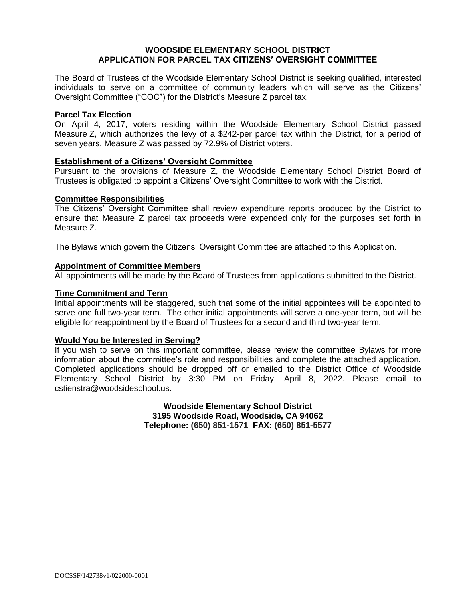## **WOODSIDE ELEMENTARY SCHOOL DISTRICT APPLICATION FOR PARCEL TAX CITIZENS' OVERSIGHT COMMITTEE**

The Board of Trustees of the Woodside Elementary School District is seeking qualified, interested individuals to serve on a committee of community leaders which will serve as the Citizens' Oversight Committee ("COC") for the District's Measure Z parcel tax.

## **Parcel Tax Election**

On April 4, 2017, voters residing within the Woodside Elementary School District passed Measure Z, which authorizes the levy of a \$242-per parcel tax within the District, for a period of seven years. Measure Z was passed by 72.9% of District voters.

#### **Establishment of a Citizens' Oversight Committee**

Pursuant to the provisions of Measure Z, the Woodside Elementary School District Board of Trustees is obligated to appoint a Citizens' Oversight Committee to work with the District.

#### **Committee Responsibilities**

The Citizens' Oversight Committee shall review expenditure reports produced by the District to ensure that Measure Z parcel tax proceeds were expended only for the purposes set forth in Measure Z.

The Bylaws which govern the Citizens' Oversight Committee are attached to this Application.

#### **Appointment of Committee Members**

All appointments will be made by the Board of Trustees from applications submitted to the District.

#### **Time Commitment and Term**

Initial appointments will be staggered, such that some of the initial appointees will be appointed to serve one full two-year term. The other initial appointments will serve a one-year term, but will be eligible for reappointment by the Board of Trustees for a second and third two-year term.

## **Would You be Interested in Serving?**

If you wish to serve on this important committee, please review the committee Bylaws for more information about the committee's role and responsibilities and complete the attached application. Completed applications should be dropped off or emailed to the District Office of Woodside Elementary School District by 3:30 PM on Friday, April 8, 2022. Please email to cstienstra@woodsideschool.us.

> **Woodside Elementary School District 3195 Woodside Road, Woodside, CA 94062 Telephone: (650) 851-1571 FAX: (650) 851-5577**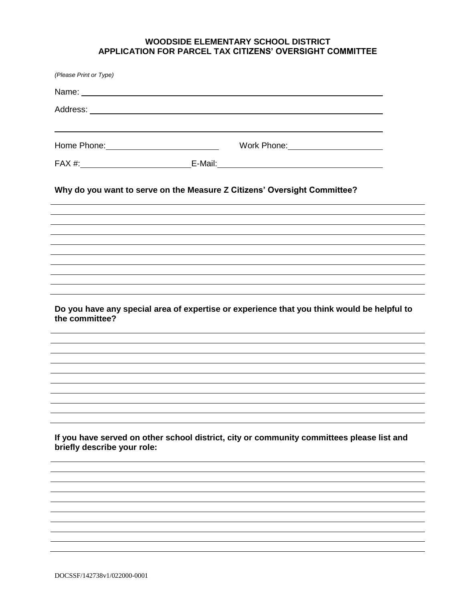# **WOODSIDE ELEMENTARY SCHOOL DISTRICT APPLICATION FOR PARCEL TAX CITIZENS' OVERSIGHT COMMITTEE**

| (Please Print or Type)                                                                                       |                                                                                           |  |  |
|--------------------------------------------------------------------------------------------------------------|-------------------------------------------------------------------------------------------|--|--|
|                                                                                                              |                                                                                           |  |  |
|                                                                                                              |                                                                                           |  |  |
|                                                                                                              |                                                                                           |  |  |
|                                                                                                              |                                                                                           |  |  |
| Why do you want to serve on the Measure Z Citizens' Oversight Committee?                                     |                                                                                           |  |  |
|                                                                                                              |                                                                                           |  |  |
|                                                                                                              |                                                                                           |  |  |
| Do you have any special area of expertise or experience that you think would be helpful to<br>the committee? |                                                                                           |  |  |
|                                                                                                              |                                                                                           |  |  |
|                                                                                                              |                                                                                           |  |  |
|                                                                                                              |                                                                                           |  |  |
|                                                                                                              |                                                                                           |  |  |
| briefly describe your role:                                                                                  | If you have served on other school district, city or community committees please list and |  |  |
|                                                                                                              |                                                                                           |  |  |
|                                                                                                              |                                                                                           |  |  |
|                                                                                                              |                                                                                           |  |  |
|                                                                                                              |                                                                                           |  |  |
|                                                                                                              |                                                                                           |  |  |